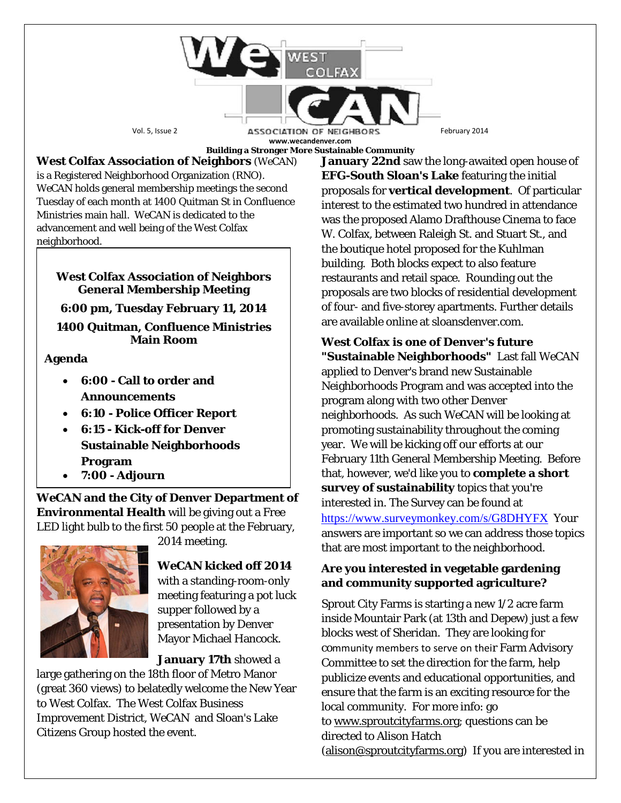

**West Colfax Association of Neighbors** (*WeCAN*) is a Registered Neighborhood Organization (RNO). *WeCAN* holds general membership meetings the second Tuesday of each month at 1400 Quitman St in Confluence Ministries main hall. *WeCAN* is dedicated to the advancement and well being of the West Colfax neighborhood.

### **West Colfax Association of Neighbors General Membership Meeting**

**6:00 pm, Tuesday February 11, 2014**

**1400 Quitman, Confluence Ministries Main Room**

## **Agenda**

- **6:00 - Call to order and Announcements**
- **6:10 - Police Officer Report**
- **6:15 - Kick-off for Denver Sustainable Neighborhoods Program**
- **7:00 - Adjourn**

*WeCAN* **and the City of Denver Department of Environmental Health** will be giving out a Free LED light bulb to the first 50 people at the February,



2014 meeting.

# *WeCAN* **kicked off 2014**

with a standing-room-only meeting featuring a pot luck supper followed by a presentation by Denver Mayor Michael Hancock.

**January 17th** showed a

large gathering on the 18th floor of Metro Manor (great 360 views) to belatedly welcome the New Year to West Colfax. The West Colfax Business Improvement District, WeCAN and Sloan's Lake Citizens Group hosted the event.

**January 22nd** saw the long-awaited open house of **EFG-South Sloan's Lake** featuring the initial proposals for **vertical development**. Of particular interest to the estimated two hundred in attendance was the proposed Alamo Drafthouse Cinema to face W. Colfax, between Raleigh St. and Stuart St., and the boutique hotel proposed for the Kuhlman building. Both blocks expect to also feature restaurants and retail space. Rounding out the proposals are two blocks of residential development of four- and five-storey apartments. Further details are available online at sloansdenver.com.

**West Colfax is one of Denver's future "Sustainable Neighborhoods"** Last fall *WeCAN* applied to Denver's brand new Sustainable Neighborhoods Program and was accepted into the program along with two other Denver neighborhoods. As such *WeCAN* will be looking at promoting sustainability throughout the coming year. We will be kicking off our efforts at our February 11th General Membership Meeting. Before that, however, we'd like you to **complete a short survey of sustainability** topics that you're interested in. The Survey can be found at <https://www.surveymonkey.com/s/G8DHYFX> Your answers are important so we can address those topics that are most important to the neighborhood.

## **Are you interested in vegetable gardening and community supported agriculture?**

Sprout City Farms is starting a new 1/2 acre farm inside Mountair Park (at 13th and Depew) just a few blocks west of Sheridan. They are looking for community members to serve on their Farm Advisory Committee to set the direction for the farm, help publicize events and educational opportunities, and ensure that the farm is an exciting resource for the local community. For more info: go to [www.sproutcityfarms.org;](http://www.sproutcityfarms.org/) questions can be directed to Alison Hatch [\(alison@sproutcityfarms.org\)](mailto:alison@sproutcityfarms.org) If you are interested in